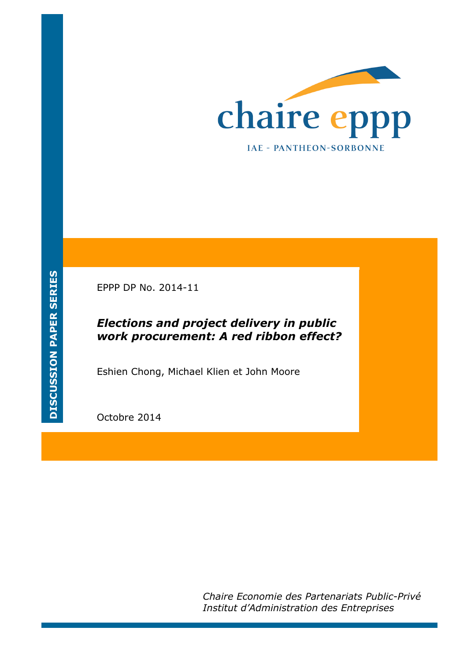

EPPP DP No. 2014-11

## *Elections and project delivery in public work procurement: A red ribbon effect?*

Eshien Chong, Michael Klien et John Moore

Octobre 2014

*Chaire Economie des Partenariats Public-Privé Institut d'Administration des Entreprises*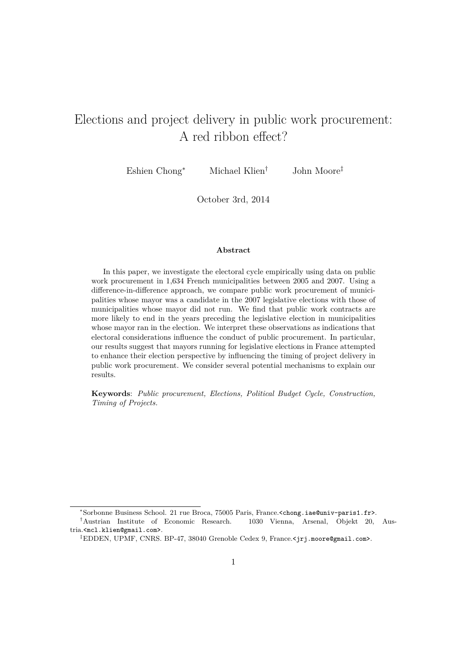# Elections and project delivery in public work procurement: A red ribbon effect?

Eshien Chong<sup>\*</sup> Michael Klien<sup>†</sup> John Moore<sup>‡</sup>

October 3rd, 2014

#### **Abstract**

In this paper, we investigate the electoral cycle empirically using data on public work procurement in 1,634 French municipalities between 2005 and 2007. Using a difference-in-difference approach, we compare public work procurement of municipalities whose mayor was a candidate in the 2007 legislative elections with those of municipalities whose mayor did not run. We find that public work contracts are more likely to end in the years preceding the legislative election in municipalities whose mayor ran in the election. We interpret these observations as indications that electoral considerations influence the conduct of public procurement. In particular, our results suggest that mayors running for legislative elections in France attempted to enhance their election perspective by influencing the timing of project delivery in public work procurement. We consider several potential mechanisms to explain our results.

**Keywords**: *Public procurement, Elections, Political Budget Cycle, Construction, Timing of Projects.*

<sup>ú</sup>Sorbonne Business School. 21 rue Broca, 75005 Paris, France.<chong.iae@univ-paris1.fr>.

*<sup>†</sup>*Austrian Institute of Economic Research. 1030 Vienna, Arsenal, Objekt 20, Austria.<mcl.klien@gmail.com>.

*<sup>‡</sup>*EDDEN, UPMF, CNRS. BP-47, 38040 Grenoble Cedex 9, France.<jrj.moore@gmail.com>.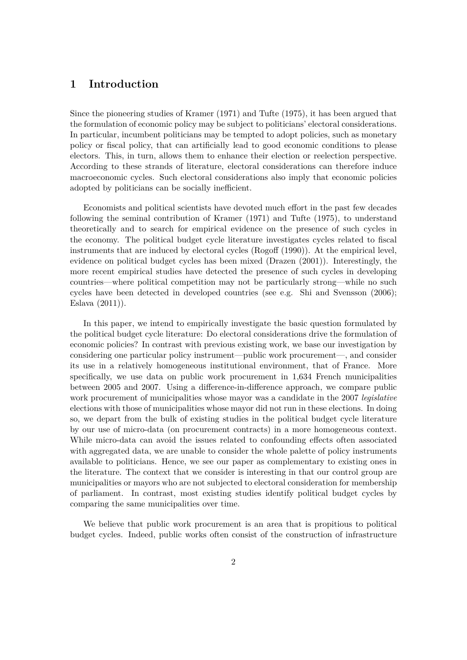## **1 Introduction**

Since the pioneering studies of Kramer (1971) and Tufte (1975), it has been argued that the formulation of economic policy may be subject to politicians' electoral considerations. In particular, incumbent politicians may be tempted to adopt policies, such as monetary policy or fiscal policy, that can artificially lead to good economic conditions to please electors. This, in turn, allows them to enhance their election or reelection perspective. According to these strands of literature, electoral considerations can therefore induce macroeconomic cycles. Such electoral considerations also imply that economic policies adopted by politicians can be socially inefficient.

Economists and political scientists have devoted much effort in the past few decades following the seminal contribution of Kramer (1971) and Tufte (1975), to understand theoretically and to search for empirical evidence on the presence of such cycles in the economy. The political budget cycle literature investigates cycles related to fiscal instruments that are induced by electoral cycles  $(Rogoff (1990))$ . At the empirical level, evidence on political budget cycles has been mixed (Drazen (2001)). Interestingly, the more recent empirical studies have detected the presence of such cycles in developing countries—where political competition may not be particularly strong—while no such cycles have been detected in developed countries (see e.g. Shi and Svensson (2006); Eslava (2011)).

In this paper, we intend to empirically investigate the basic question formulated by the political budget cycle literature: Do electoral considerations drive the formulation of economic policies? In contrast with previous existing work, we base our investigation by considering one particular policy instrument—public work procurement—, and consider its use in a relatively homogeneous institutional environment, that of France. More specifically, we use data on public work procurement in 1,634 French municipalities between 2005 and 2007. Using a difference-in-difference approach, we compare public work procurement of municipalities whose mayor was a candidate in the 2007 *legislative* elections with those of municipalities whose mayor did not run in these elections. In doing so, we depart from the bulk of existing studies in the political budget cycle literature by our use of micro-data (on procurement contracts) in a more homogeneous context. While micro-data can avoid the issues related to confounding effects often associated with aggregated data, we are unable to consider the whole palette of policy instruments available to politicians. Hence, we see our paper as complementary to existing ones in the literature. The context that we consider is interesting in that our control group are municipalities or mayors who are not subjected to electoral consideration for membership of parliament. In contrast, most existing studies identify political budget cycles by comparing the same municipalities over time.

We believe that public work procurement is an area that is propitious to political budget cycles. Indeed, public works often consist of the construction of infrastructure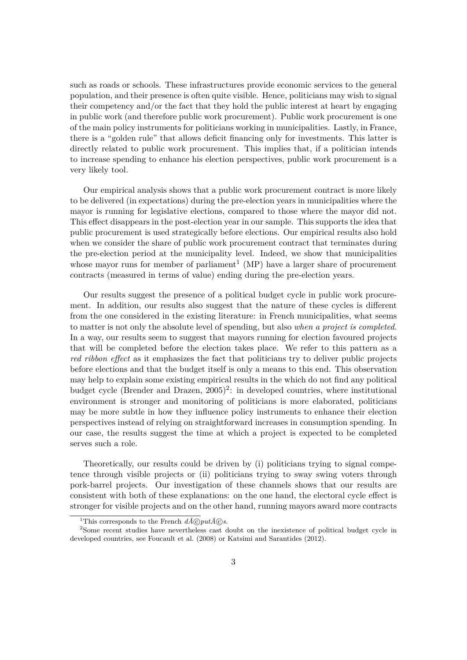such as roads or schools. These infrastructures provide economic services to the general population, and their presence is often quite visible. Hence, politicians may wish to signal their competency and/or the fact that they hold the public interest at heart by engaging in public work (and therefore public work procurement). Public work procurement is one of the main policy instruments for politicians working in municipalities. Lastly, in France, there is a "golden rule" that allows deficit financing only for investments. This latter is directly related to public work procurement. This implies that, if a politician intends to increase spending to enhance his election perspectives, public work procurement is a very likely tool.

Our empirical analysis shows that a public work procurement contract is more likely to be delivered (in expectations) during the pre-election years in municipalities where the mayor is running for legislative elections, compared to those where the mayor did not. This effect disappears in the post-election year in our sample. This supports the idea that public procurement is used strategically before elections. Our empirical results also hold when we consider the share of public work procurement contract that terminates during the pre-election period at the municipality level. Indeed, we show that municipalities whose mayor runs for member of parliament<sup>1</sup> (MP) have a larger share of procurement contracts (measured in terms of value) ending during the pre-election years.

Our results suggest the presence of a political budget cycle in public work procurement. In addition, our results also suggest that the nature of these cycles is different from the one considered in the existing literature: in French municipalities, what seems to matter is not only the absolute level of spending, but also *when a project is completed*. In a way, our results seem to suggest that mayors running for election favoured projects that will be completed before the election takes place. We refer to this pattern as a *red ribbon effect* as it emphasizes the fact that politicians try to deliver public projects before elections and that the budget itself is only a means to this end. This observation may help to explain some existing empirical results in the which do not find any political budget cycle (Brender and Drazen,  $2005$ )<sup>2</sup>: in developed countries, where institutional environment is stronger and monitoring of politicians is more elaborated, politicians may be more subtle in how they influence policy instruments to enhance their election perspectives instead of relying on straightforward increases in consumption spending. In our case, the results suggest the time at which a project is expected to be completed serves such a role.

Theoretically, our results could be driven by (i) politicians trying to signal competence through visible projects or (ii) politicians trying to sway swing voters through pork-barrel projects. Our investigation of these channels shows that our results are consistent with both of these explanations: on the one hand, the electoral cycle effect is stronger for visible projects and on the other hand, running mayors award more contracts

<sup>&</sup>lt;sup>1</sup>This corresponds to the French  $d\tilde{A}$ *C put* $\tilde{A}$ *C s*.<br><sup>2</sup> Some recent studies have nevertheless cast doubt on the inexistence of political budget cycle in developed countries, see Foucault et al. (2008) or Katsimi and Sarantides (2012).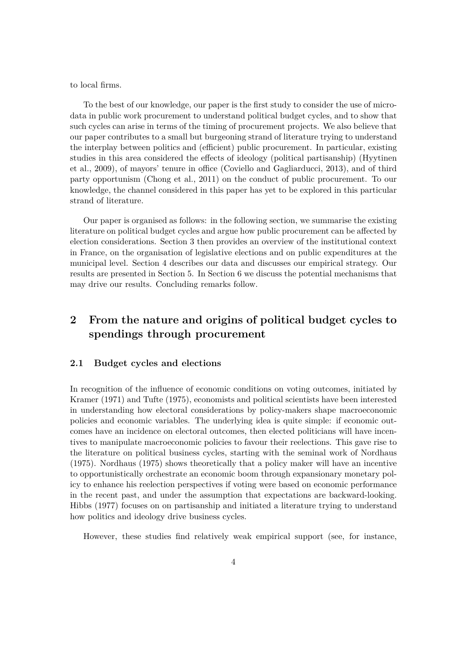to local firms.

To the best of our knowledge, our paper is the first study to consider the use of microdata in public work procurement to understand political budget cycles, and to show that such cycles can arise in terms of the timing of procurement projects. We also believe that our paper contributes to a small but burgeoning strand of literature trying to understand the interplay between politics and (efficient) public procurement. In particular, existing studies in this area considered the effects of ideology (political partisanship) (Hyytinen et al., 2009), of mayors' tenure in office (Coviello and Gagliarducci, 2013), and of third party opportunism (Chong et al., 2011) on the conduct of public procurement. To our knowledge, the channel considered in this paper has yet to be explored in this particular strand of literature.

Our paper is organised as follows: in the following section, we summarise the existing literature on political budget cycles and argue how public procurement can be affected by election considerations. Section 3 then provides an overview of the institutional context in France, on the organisation of legislative elections and on public expenditures at the municipal level. Section 4 describes our data and discusses our empirical strategy. Our results are presented in Section 5. In Section 6 we discuss the potential mechanisms that may drive our results. Concluding remarks follow.

## **2 From the nature and origins of political budget cycles to spendings through procurement**

#### **2.1 Budget cycles and elections**

In recognition of the influence of economic conditions on voting outcomes, initiated by Kramer (1971) and Tufte (1975), economists and political scientists have been interested in understanding how electoral considerations by policy-makers shape macroeconomic policies and economic variables. The underlying idea is quite simple: if economic outcomes have an incidence on electoral outcomes, then elected politicians will have incentives to manipulate macroeconomic policies to favour their reelections. This gave rise to the literature on political business cycles, starting with the seminal work of Nordhaus (1975). Nordhaus (1975) shows theoretically that a policy maker will have an incentive to opportunistically orchestrate an economic boom through expansionary monetary policy to enhance his reelection perspectives if voting were based on economic performance in the recent past, and under the assumption that expectations are backward-looking. Hibbs (1977) focuses on on partisanship and initiated a literature trying to understand how politics and ideology drive business cycles.

However, these studies find relatively weak empirical support (see, for instance,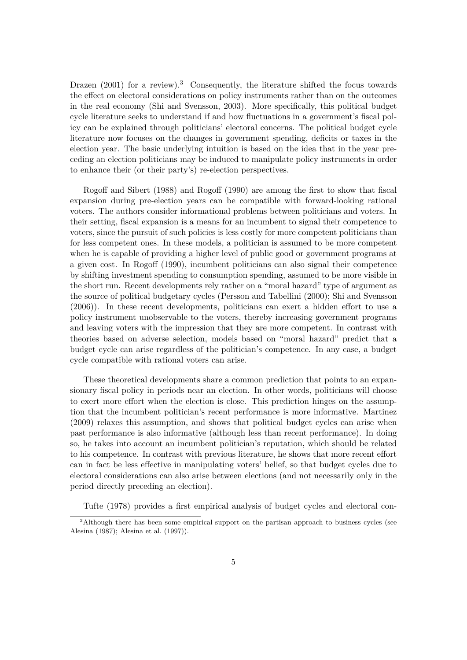Drazen  $(2001)$  for a review).<sup>3</sup> Consequently, the literature shifted the focus towards the effect on electoral considerations on policy instruments rather than on the outcomes in the real economy (Shi and Svensson, 2003). More specifically, this political budget cycle literature seeks to understand if and how fluctuations in a government's fiscal policy can be explained through politicians' electoral concerns. The political budget cycle literature now focuses on the changes in government spending, deficits or taxes in the election year. The basic underlying intuition is based on the idea that in the year preceding an election politicians may be induced to manipulate policy instruments in order to enhance their (or their party's) re-election perspectives.

Rogoff and Sibert (1988) and Rogoff (1990) are among the first to show that fiscal expansion during pre-election years can be compatible with forward-looking rational voters. The authors consider informational problems between politicians and voters. In their setting, fiscal expansion is a means for an incumbent to signal their competence to voters, since the pursuit of such policies is less costly for more competent politicians than for less competent ones. In these models, a politician is assumed to be more competent when he is capable of providing a higher level of public good or government programs at a given cost. In Rogoff (1990), incumbent politicians can also signal their competence by shifting investment spending to consumption spending, assumed to be more visible in the short run. Recent developments rely rather on a "moral hazard" type of argument as the source of political budgetary cycles (Persson and Tabellini (2000); Shi and Svensson  $(2006)$ ). In these recent developments, politicians can exert a hidden effort to use a policy instrument unobservable to the voters, thereby increasing government programs and leaving voters with the impression that they are more competent. In contrast with theories based on adverse selection, models based on "moral hazard" predict that a budget cycle can arise regardless of the politician's competence. In any case, a budget cycle compatible with rational voters can arise.

These theoretical developments share a common prediction that points to an expansionary fiscal policy in periods near an election. In other words, politicians will choose to exert more effort when the election is close. This prediction hinges on the assumption that the incumbent politician's recent performance is more informative. Martinez (2009) relaxes this assumption, and shows that political budget cycles can arise when past performance is also informative (although less than recent performance). In doing so, he takes into account an incumbent politician's reputation, which should be related to his competence. In contrast with previous literature, he shows that more recent effort can in fact be less effective in manipulating voters' belief, so that budget cycles due to electoral considerations can also arise between elections (and not necessarily only in the period directly preceding an election).

Tufte (1978) provides a first empirical analysis of budget cycles and electoral con-

<sup>&</sup>lt;sup>3</sup>Although there has been some empirical support on the partisan approach to business cycles (see Alesina (1987); Alesina et al. (1997)).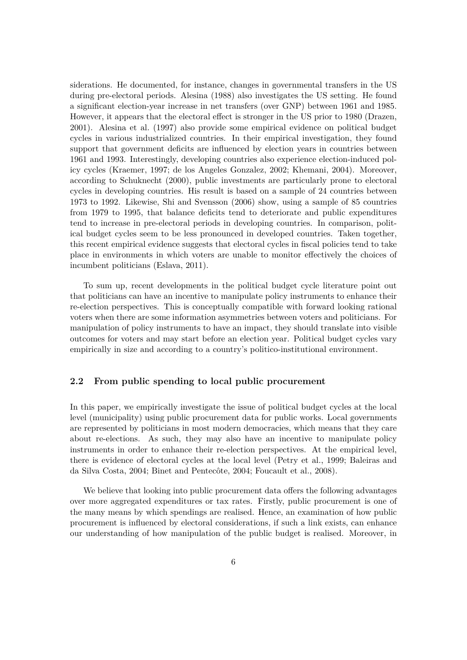siderations. He documented, for instance, changes in governmental transfers in the US during pre-electoral periods. Alesina (1988) also investigates the US setting. He found a significant election-year increase in net transfers (over GNP) between 1961 and 1985. However, it appears that the electoral effect is stronger in the US prior to 1980 (Drazen, 2001). Alesina et al. (1997) also provide some empirical evidence on political budget cycles in various industrialized countries. In their empirical investigation, they found support that government deficits are influenced by election years in countries between 1961 and 1993. Interestingly, developing countries also experience election-induced policy cycles (Kraemer, 1997; de los Angeles Gonzalez, 2002; Khemani, 2004). Moreover, according to Schuknecht (2000), public investments are particularly prone to electoral cycles in developing countries. His result is based on a sample of 24 countries between 1973 to 1992. Likewise, Shi and Svensson (2006) show, using a sample of 85 countries from 1979 to 1995, that balance deficits tend to deteriorate and public expenditures tend to increase in pre-electoral periods in developing countries. In comparison, political budget cycles seem to be less pronounced in developed countries. Taken together, this recent empirical evidence suggests that electoral cycles in fiscal policies tend to take place in environments in which voters are unable to monitor effectively the choices of incumbent politicians (Eslava, 2011).

To sum up, recent developments in the political budget cycle literature point out that politicians can have an incentive to manipulate policy instruments to enhance their re-election perspectives. This is conceptually compatible with forward looking rational voters when there are some information asymmetries between voters and politicians. For manipulation of policy instruments to have an impact, they should translate into visible outcomes for voters and may start before an election year. Political budget cycles vary empirically in size and according to a country's politico-institutional environment.

#### **2.2 From public spending to local public procurement**

In this paper, we empirically investigate the issue of political budget cycles at the local level (municipality) using public procurement data for public works. Local governments are represented by politicians in most modern democracies, which means that they care about re-elections. As such, they may also have an incentive to manipulate policy instruments in order to enhance their re-election perspectives. At the empirical level, there is evidence of electoral cycles at the local level (Petry et al., 1999; Baleiras and da Silva Costa, 2004; Binet and Pentecôte, 2004; Foucault et al., 2008).

We believe that looking into public procurement data offers the following advantages over more aggregated expenditures or tax rates. Firstly, public procurement is one of the many means by which spendings are realised. Hence, an examination of how public procurement is influenced by electoral considerations, if such a link exists, can enhance our understanding of how manipulation of the public budget is realised. Moreover, in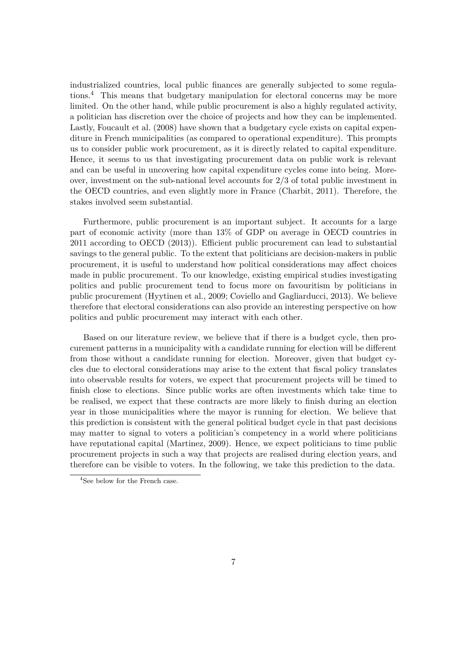industrialized countries, local public finances are generally subjected to some regulations.<sup>4</sup> This means that budgetary manipulation for electoral concerns may be more limited. On the other hand, while public procurement is also a highly regulated activity, a politician has discretion over the choice of projects and how they can be implemented. Lastly, Foucault et al. (2008) have shown that a budgetary cycle exists on capital expenditure in French municipalities (as compared to operational expenditure). This prompts us to consider public work procurement, as it is directly related to capital expenditure. Hence, it seems to us that investigating procurement data on public work is relevant and can be useful in uncovering how capital expenditure cycles come into being. Moreover, investment on the sub-national level accounts for 2/3 of total public investment in the OECD countries, and even slightly more in France (Charbit, 2011). Therefore, the stakes involved seem substantial.

Furthermore, public procurement is an important subject. It accounts for a large part of economic activity (more than 13% of GDP on average in OECD countries in  $2011$  according to OECD  $(2013)$ ). Efficient public procurement can lead to substantial savings to the general public. To the extent that politicians are decision-makers in public procurement, it is useful to understand how political considerations may affect choices made in public procurement. To our knowledge, existing empirical studies investigating politics and public procurement tend to focus more on favouritism by politicians in public procurement (Hyytinen et al., 2009; Coviello and Gagliarducci, 2013). We believe therefore that electoral considerations can also provide an interesting perspective on how politics and public procurement may interact with each other.

Based on our literature review, we believe that if there is a budget cycle, then procurement patterns in a municipality with a candidate running for election will be different from those without a candidate running for election. Moreover, given that budget cycles due to electoral considerations may arise to the extent that fiscal policy translates into observable results for voters, we expect that procurement projects will be timed to finish close to elections. Since public works are often investments which take time to be realised, we expect that these contracts are more likely to finish during an election year in those municipalities where the mayor is running for election. We believe that this prediction is consistent with the general political budget cycle in that past decisions may matter to signal to voters a politician's competency in a world where politicians have reputational capital (Martinez, 2009). Hence, we expect politicians to time public procurement projects in such a way that projects are realised during election years, and therefore can be visible to voters. In the following, we take this prediction to the data.

<sup>&</sup>lt;sup>4</sup>See below for the French case.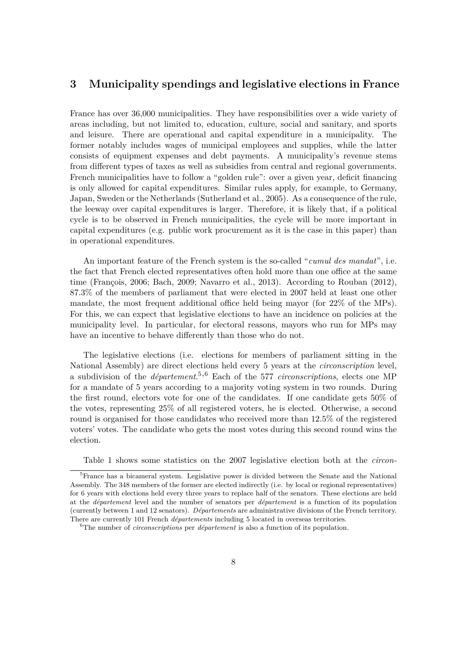## **3 Municipality spendings and legislative elections in France**

France has over 36,000 municipalities. They have responsibilities over a wide variety of areas including, but not limited to, education, culture, social and sanitary, and sports and leisure. There are operational and capital expenditure in a municipality. The former notably includes wages of municipal employees and supplies, while the latter consists of equipment expenses and debt payments. A municipality's revenue stems from different types of taxes as well as subsidies from central and regional governments. French municipalities have to follow a "golden rule": over a given year, deficit financing is only allowed for capital expenditures. Similar rules apply, for example, to Germany, Japan, Sweden or the Netherlands (Sutherland et al., 2005). As a consequence of the rule, the leeway over capital expenditures is larger. Therefore, it is likely that, if a political cycle is to be observed in French municipalities, the cycle will be more important in capital expenditures (e.g. public work procurement as it is the case in this paper) than in operational expenditures.

An important feature of the French system is the so-called "*cumul des mandat*", i.e. the fact that French elected representatives often hold more than one office at the same time (François, 2006; Bach, 2009; Navarro et al., 2013). According to Rouban (2012), 87.3% of the members of parliament that were elected in 2007 held at least one other mandate, the most frequent additional office held being mayor (for  $22\%$  of the MPs). For this, we can expect that legislative elections to have an incidence on policies at the municipality level. In particular, for electoral reasons, mayors who run for MPs may have an incentive to behave differently than those who do not.

The legislative elections (i.e. elections for members of parliament sitting in the National Assembly) are direct elections held every 5 years at the *circonscription* level, a subdivision of the *département*. <sup>5</sup>,<sup>6</sup> Each of the 577 *circonscriptions*, elects one MP for a mandate of 5 years according to a majority voting system in two rounds. During the first round, electors vote for one of the candidates. If one candidate gets 50% of the votes, representing 25% of all registered voters, he is elected. Otherwise, a second round is organised for those candidates who received more than 12.5% of the registered voters' votes. The candidate who gets the most votes during this second round wins the election.

Table 1 shows some statistics on the 2007 legislative election both at the *circon-*

<sup>5</sup>France has a bicameral system. Legislative power is divided between the Senate and the National Assembly. The 348 members of the former are elected indirectly (i.e. by local or regional representatives) for 6 years with elections held every three years to replace half of the senators. These elections are held at the *département* level and the number of senators per *département* is a function of its population (currently between 1 and 12 senators). *Départements* are administrative divisions of the French territory. There are currently 101 French *départements* including 5 located in overseas territories.

<sup>6</sup>The number of *circonscriptions* per *département* is also a function of its population.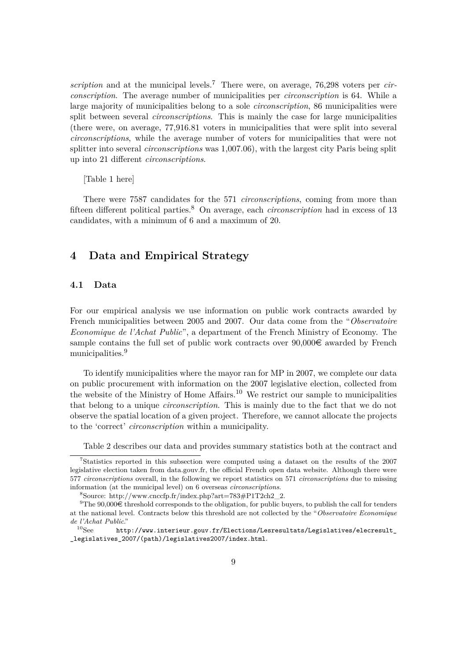*scription* and at the municipal levels.<sup>7</sup> There were, on average, 76,298 voters per *circonscription*. The average number of municipalities per *circonscription* is 64. While a large majority of municipalities belong to a sole *circonscription*, 86 municipalities were split between several *circonscriptions*. This is mainly the case for large municipalities (there were, on average, 77,916.81 voters in municipalities that were split into several *circonscriptions*, while the average number of voters for municipalities that were not splitter into several *circonscriptions* was 1,007.06), with the largest city Paris being split up into 21 different *circonscriptions*.

[Table 1 here]

There were 7587 candidates for the 571 *circonscriptions*, coming from more than fifteen different political parties.<sup>8</sup> On average, each *circonscription* had in excess of 13 candidates, with a minimum of 6 and a maximum of 20.

## **4 Data and Empirical Strategy**

#### **4.1 Data**

For our empirical analysis we use information on public work contracts awarded by French municipalities between 2005 and 2007. Our data come from the "*Observatoire Economique de l'Achat Public*", a department of the French Ministry of Economy. The sample contains the full set of public work contracts over  $90,000\in$  awarded by French municipalities.<sup>9</sup>

To identify municipalities where the mayor ran for MP in 2007, we complete our data on public procurement with information on the 2007 legislative election, collected from the website of the Ministry of Home Affairs.<sup>10</sup> We restrict our sample to municipalities that belong to a unique *circonscription*. This is mainly due to the fact that we do not observe the spatial location of a given project. Therefore, we cannot allocate the projects to the 'correct' *circonscription* within a municipality.

Table 2 describes our data and provides summary statistics both at the contract and

<sup>7</sup>Statistics reported in this subsection were computed using a dataset on the results of the 2007 legislative election taken from data.gouv.fr, the official French open data website. Although there were 577 *circonscriptions* overall, in the following we report statistics on 571 *circonscriptions* due to missing information (at the municipal level) on 6 overseas *circonscriptions*.

<sup>8</sup>Source: http://www.cnccfp.fr/index.php?art=783#P1T2ch2\_2.

<sup>&</sup>lt;sup>9</sup>The 90,000 $\epsilon$  threshold corresponds to the obligation, for public buyers, to publish the call for tenders at the national level. Contracts below this threshold are not collected by the "*Observatoire Economique de l'Achat Public*."

http://www.interieur.gouv.fr/Elections/Lesresultats/Legislatives/elecresult \_legislatives\_2007/(path)/legislatives2007/index.html.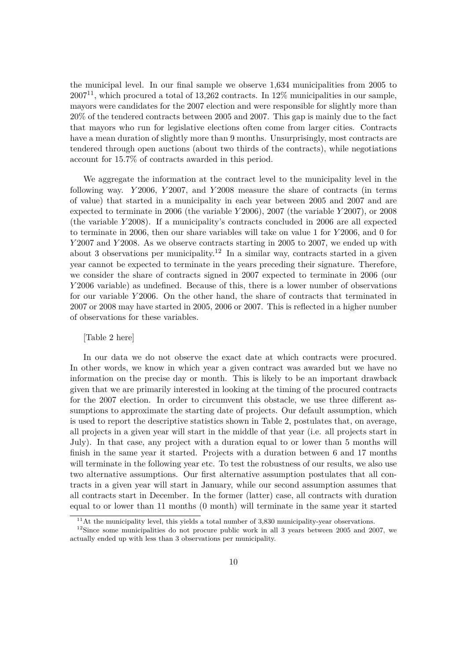the municipal level. In our final sample we observe 1,634 municipalities from 2005 to  $2007<sup>11</sup>$ , which procured a total of 13,262 contracts. In 12\% municipalities in our sample, mayors were candidates for the 2007 election and were responsible for slightly more than 20% of the tendered contracts between 2005 and 2007. This gap is mainly due to the fact that mayors who run for legislative elections often come from larger cities. Contracts have a mean duration of slightly more than 9 months. Unsurprisingly, most contracts are tendered through open auctions (about two thirds of the contracts), while negotiations account for 15.7% of contracts awarded in this period.

We aggregate the information at the contract level to the municipality level in the following way. *Y* 2006, *Y* 2007, and *Y* 2008 measure the share of contracts (in terms of value) that started in a municipality in each year between 2005 and 2007 and are expected to terminate in 2006 (the variable *Y* 2006), 2007 (the variable *Y* 2007), or 2008 (the variable *Y* 2008). If a municipality's contracts concluded in 2006 are all expected to terminate in 2006, then our share variables will take on value 1 for *Y* 2006, and 0 for *Y* 2007 and *Y* 2008. As we observe contracts starting in 2005 to 2007, we ended up with about 3 observations per municipality.<sup>12</sup> In a similar way, contracts started in a given year cannot be expected to terminate in the years preceding their signature. Therefore, we consider the share of contracts signed in 2007 expected to terminate in 2006 (our *Y* 2006 variable) as undefined. Because of this, there is a lower number of observations for our variable *Y* 2006. On the other hand, the share of contracts that terminated in 2007 or 2008 may have started in 2005, 2006 or 2007. This is reflected in a higher number of observations for these variables.

#### [Table 2 here]

In our data we do not observe the exact date at which contracts were procured. In other words, we know in which year a given contract was awarded but we have no information on the precise day or month. This is likely to be an important drawback given that we are primarily interested in looking at the timing of the procured contracts for the 2007 election. In order to circumvent this obstacle, we use three different assumptions to approximate the starting date of projects. Our default assumption, which is used to report the descriptive statistics shown in Table 2, postulates that, on average, all projects in a given year will start in the middle of that year (i.e. all projects start in July). In that case, any project with a duration equal to or lower than 5 months will finish in the same year it started. Projects with a duration between 6 and 17 months will terminate in the following year etc. To test the robustness of our results, we also use two alternative assumptions. Our first alternative assumption postulates that all contracts in a given year will start in January, while our second assumption assumes that all contracts start in December. In the former (latter) case, all contracts with duration equal to or lower than 11 months (0 month) will terminate in the same year it started

 $11$ <sup>11</sup>At the municipality level, this yields a total number of 3,830 municipality-year observations.

 $12$ Since some municipalities do not procure public work in all 3 years between 2005 and 2007, we actually ended up with less than 3 observations per municipality.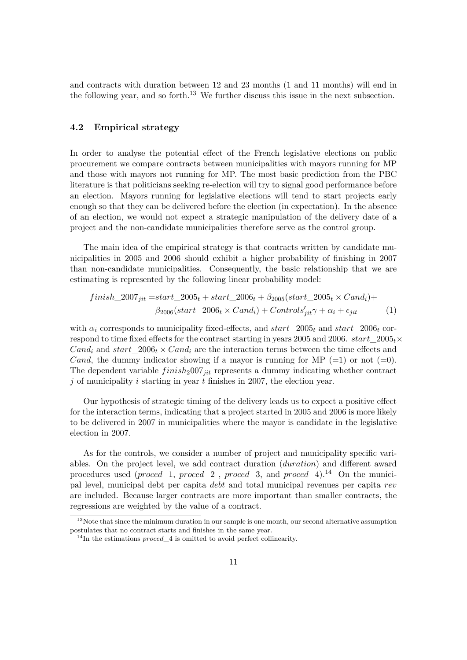and contracts with duration between 12 and 23 months (1 and 11 months) will end in the following year, and so forth.<sup>13</sup> We further discuss this issue in the next subsection.

#### **4.2 Empirical strategy**

In order to analyse the potential effect of the French legislative elections on public procurement we compare contracts between municipalities with mayors running for MP and those with mayors not running for MP. The most basic prediction from the PBC literature is that politicians seeking re-election will try to signal good performance before an election. Mayors running for legislative elections will tend to start projects early enough so that they can be delivered before the election (in expectation). In the absence of an election, we would not expect a strategic manipulation of the delivery date of a project and the non-candidate municipalities therefore serve as the control group.

The main idea of the empirical strategy is that contracts written by candidate municipalities in 2005 and 2006 should exhibit a higher probability of finishing in 2007 than non-candidate municipalities. Consequently, the basic relationship that we are estimating is represented by the following linear probability model:

$$
finish\_2007_{jit} = start\_2005_t + start\_2006_t + \beta_{2005}(start\_2005_t \times Cand_i) + \beta_{2006}(start\_2006_t \times Cand_i) + Controls'_{jit} \gamma + \alpha_i + \epsilon_{jit}
$$
\n(1)

with  $\alpha_i$  corresponds to municipality fixed-effects, and  $start\_2005_t$  and  $start\_2006_t$  correspond to time fixed effects for the contract starting in years 2005 and 2006. *start*  $2005<sub>t</sub>$ *×*  $Cand_i$  and  $start\_2006_t \times Cand_i$  are the interaction terms between the time effects and *Cand*, the dummy indicator showing if a mayor is running for MP  $(=1)$  or not  $(=0)$ . The dependent variable *f inish*2007*jit* represents a dummy indicating whether contract *j* of municipality *i* starting in year *t* finishes in 2007, the election year.

Our hypothesis of strategic timing of the delivery leads us to expect a positive effect for the interaction terms, indicating that a project started in 2005 and 2006 is more likely to be delivered in 2007 in municipalities where the mayor is candidate in the legislative election in 2007.

As for the controls, we consider a number of project and municipality specific variables. On the project level, we add contract duration (*duration*) and different award procedures used (*proced*\_1, *proced*\_2 , *proced*\_3, and *proced*\_4).<sup>14</sup> On the municipal level, municipal debt per capita *debt* and total municipal revenues per capita *rev* are included. Because larger contracts are more important than smaller contracts, the regressions are weighted by the value of a contract.

<sup>&</sup>lt;sup>13</sup>Note that since the minimum duration in our sample is one month, our second alternative assumption postulates that no contract starts and finishes in the same year.

 $14$ In the estimations *proced* 4 is omitted to avoid perfect collinearity.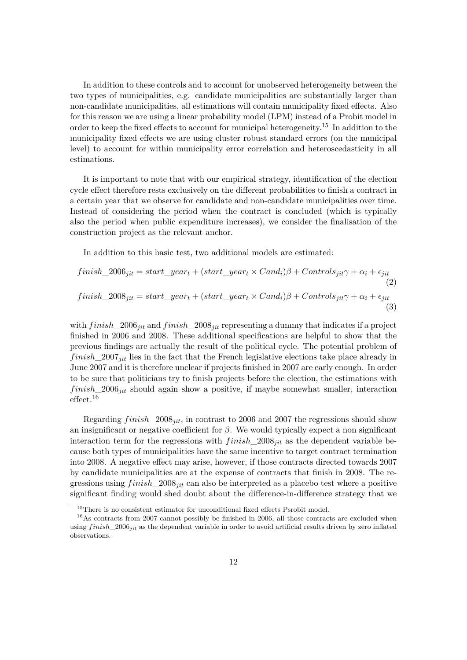In addition to these controls and to account for unobserved heterogeneity between the two types of municipalities, e.g. candidate municipalities are substantially larger than non-candidate municipalities, all estimations will contain municipality fixed effects. Also for this reason we are using a linear probability model (LPM) instead of a Probit model in order to keep the fixed effects to account for municipal heterogeneity.<sup>15</sup> In addition to the municipality fixed effects we are using cluster robust standard errors (on the municipal level) to account for within municipality error correlation and heteroscedasticity in all estimations.

It is important to note that with our empirical strategy, identification of the election cycle effect therefore rests exclusively on the different probabilities to finish a contract in a certain year that we observe for candidate and non-candidate municipalities over time. Instead of considering the period when the contract is concluded (which is typically also the period when public expenditure increases), we consider the finalisation of the construction project as the relevant anchor.

In addition to this basic test, two additional models are estimated:

$$
finish\_2006_{jit} = start\_year_t + (start\_year_t \times Cand_i)\beta + Controls_{jit}\gamma + \alpha_i + \epsilon_{jit}
$$
  
(2)  

$$
finish\_2008_{jit} = start\_year_t + (start\_year_t \times Cand_i)\beta + Controls_{jit}\gamma + \alpha_i + \epsilon_{jit}
$$
  
(3)

with *f inish*\_2006*jit* and *f inish*\_2008*jit* representing a dummy that indicates if a project finished in 2006 and 2008. These additional specifications are helpful to show that the previous findings are actually the result of the political cycle. The potential problem of *finish* 2007<sub>*jit*</sub> lies in the fact that the French legislative elections take place already in June 2007 and it is therefore unclear if projects finished in 2007 are early enough. In order to be sure that politicians try to finish projects before the election, the estimations with *f inish*\_2006*jit* should again show a positive, if maybe somewhat smaller, interaction  $\rm effect.^{16}$ 

Regarding *f inish*\_2008*jit*, in contrast to 2006 and 2007 the regressions should show an insignificant or negative coefficient for  $\beta$ . We would typically expect a non significant interaction term for the regressions with *f inish*\_2008*jit* as the dependent variable because both types of municipalities have the same incentive to target contract termination into 2008. A negative effect may arise, however, if those contracts directed towards 2007 by candidate municipalities are at the expense of contracts that finish in 2008. The regressions using *f inish*\_2008*jit* can also be interpreted as a placebo test where a positive significant finding would shed doubt about the difference-in-difference strategy that we

 $15$ There is no consistent estimator for unconditional fixed effects Psrobit model.

<sup>&</sup>lt;sup>16</sup>As contracts from 2007 cannot possibly be finished in 2006, all those contracts are excluded when using *f inish*\_2006*jit* as the dependent variable in order to avoid artificial results driven by zero inflated observations.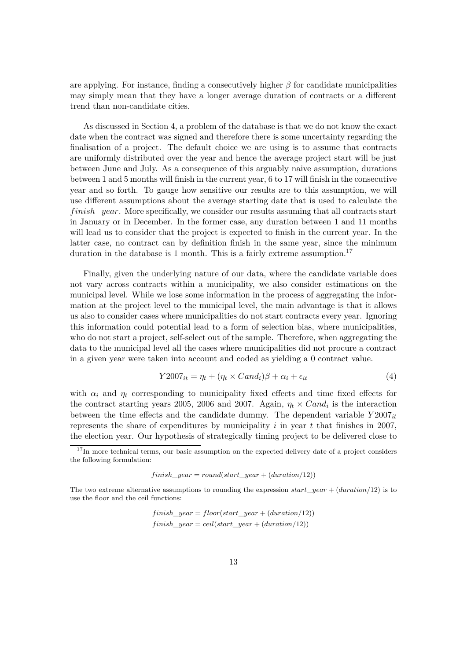are applying. For instance, finding a consecutively higher  $\beta$  for candidate municipalities may simply mean that they have a longer average duration of contracts or a different trend than non-candidate cities.

As discussed in Section 4, a problem of the database is that we do not know the exact date when the contract was signed and therefore there is some uncertainty regarding the finalisation of a project. The default choice we are using is to assume that contracts are uniformly distributed over the year and hence the average project start will be just between June and July. As a consequence of this arguably naive assumption, durations between 1 and 5 months will finish in the current year, 6 to 17 will finish in the consecutive year and so forth. To gauge how sensitive our results are to this assumption, we will use different assumptions about the average starting date that is used to calculate the *f inish*\_*year*. More specifically, we consider our results assuming that all contracts start in January or in December. In the former case, any duration between 1 and 11 months will lead us to consider that the project is expected to finish in the current year. In the latter case, no contract can by definition finish in the same year, since the minimum duration in the database is 1 month. This is a fairly extreme assumption.<sup>17</sup>

Finally, given the underlying nature of our data, where the candidate variable does not vary across contracts within a municipality, we also consider estimations on the municipal level. While we lose some information in the process of aggregating the information at the project level to the municipal level, the main advantage is that it allows us also to consider cases where municipalities do not start contracts every year. Ignoring this information could potential lead to a form of selection bias, where municipalities, who do not start a project, self-select out of the sample. Therefore, when aggregating the data to the municipal level all the cases where municipalities did not procure a contract in a given year were taken into account and coded as yielding a 0 contract value.

$$
Y2007_{it} = \eta_t + (\eta_t \times Cand_i)\beta + \alpha_i + \epsilon_{it}
$$
\n<sup>(4)</sup>

with  $\alpha_i$  and  $\eta_t$  corresponding to municipality fixed effects and time fixed effects for the contract starting years 2005, 2006 and 2007. Again,  $\eta_t \times Cand_i$  is the interaction between the time effects and the candidate dummy. The dependent variable  $Y2007_{it}$ represents the share of expenditures by municipality *i* in year *t* that finishes in 2007, the election year. Our hypothesis of strategically timing project to be delivered close to

 $f inish\_year = round(start\_year + (duration/12))$ 

$$
finish\_year = floor(start\_year + (duration/12))
$$

$$
finish\_year = ceil(start\_year + (duration/12))
$$

<sup>&</sup>lt;sup>17</sup>In more technical terms, our basic assumption on the expected delivery date of a project considers the following formulation:

The two extreme alternative assumptions to rounding the expression *start*\_*year* + (*duration/*12) is to use the floor and the ceil functions: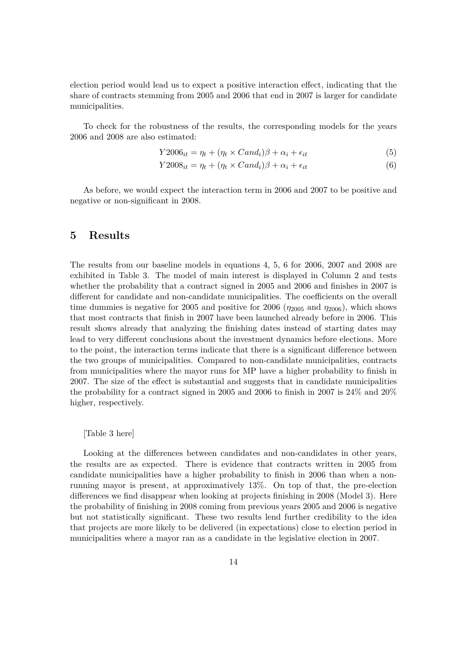election period would lead us to expect a positive interaction effect, indicating that the share of contracts stemming from 2005 and 2006 that end in 2007 is larger for candidate municipalities.

To check for the robustness of the results, the corresponding models for the years 2006 and 2008 are also estimated:

$$
Y2006_{it} = \eta_t + (\eta_t \times Cand_i)\beta + \alpha_i + \epsilon_{it}
$$
\n<sup>(5)</sup>

$$
Y2008_{it} = \eta_t + (\eta_t \times Cand_i)\beta + \alpha_i + \epsilon_{it}
$$
\n<sup>(6)</sup>

As before, we would expect the interaction term in 2006 and 2007 to be positive and negative or non-significant in 2008.

### **5 Results**

The results from our baseline models in equations 4, 5, 6 for 2006, 2007 and 2008 are exhibited in Table 3. The model of main interest is displayed in Column 2 and tests whether the probability that a contract signed in 2005 and 2006 and finishes in 2007 is different for candidate and non-candidate municipalities. The coefficients on the overall time dummies is negative for 2005 and positive for 2006 ( $\eta_{2005}$  and  $\eta_{2006}$ ), which shows that most contracts that finish in 2007 have been launched already before in 2006. This result shows already that analyzing the finishing dates instead of starting dates may lead to very different conclusions about the investment dynamics before elections. More to the point, the interaction terms indicate that there is a significant difference between the two groups of municipalities. Compared to non-candidate municipalities, contracts from municipalities where the mayor runs for MP have a higher probability to finish in 2007. The size of the effect is substantial and suggests that in candidate municipalities the probability for a contract signed in 2005 and 2006 to finish in 2007 is 24% and 20% higher, respectively.

#### [Table 3 here]

Looking at the differences between candidates and non-candidates in other years, the results are as expected. There is evidence that contracts written in 2005 from candidate municipalities have a higher probability to finish in 2006 than when a nonrunning mayor is present, at approximatively 13%. On top of that, the pre-election differences we find disappear when looking at projects finishing in 2008 (Model 3). Here the probability of finishing in 2008 coming from previous years 2005 and 2006 is negative but not statistically significant. These two results lend further credibility to the idea that projects are more likely to be delivered (in expectations) close to election period in municipalities where a mayor ran as a candidate in the legislative election in 2007.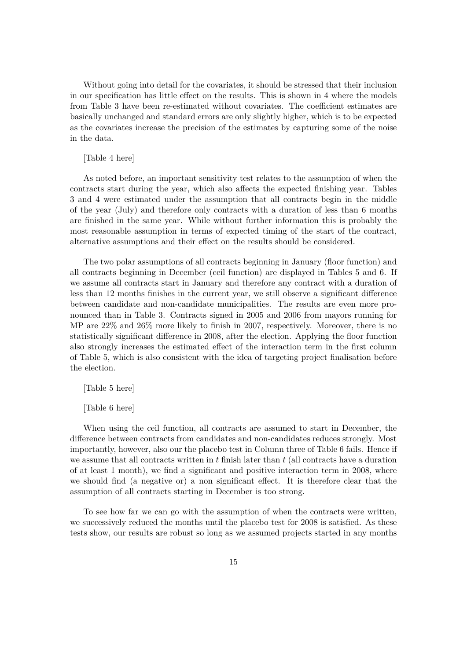Without going into detail for the covariates, it should be stressed that their inclusion in our specification has little effect on the results. This is shown in 4 where the models from Table 3 have been re-estimated without covariates. The coefficient estimates are basically unchanged and standard errors are only slightly higher, which is to be expected as the covariates increase the precision of the estimates by capturing some of the noise in the data.

#### [Table 4 here]

As noted before, an important sensitivity test relates to the assumption of when the contracts start during the year, which also affects the expected finishing year. Tables 3 and 4 were estimated under the assumption that all contracts begin in the middle of the year (July) and therefore only contracts with a duration of less than 6 months are finished in the same year. While without further information this is probably the most reasonable assumption in terms of expected timing of the start of the contract, alternative assumptions and their effect on the results should be considered.

The two polar assumptions of all contracts beginning in January (floor function) and all contracts beginning in December (ceil function) are displayed in Tables 5 and 6. If we assume all contracts start in January and therefore any contract with a duration of less than 12 months finishes in the current year, we still observe a significant difference between candidate and non-candidate municipalities. The results are even more pronounced than in Table 3. Contracts signed in 2005 and 2006 from mayors running for MP are 22% and 26% more likely to finish in 2007, respectively. Moreover, there is no statistically significant difference in 2008, after the election. Applying the floor function also strongly increases the estimated effect of the interaction term in the first column of Table 5, which is also consistent with the idea of targeting project finalisation before the election.

#### [Table 5 here]

#### [Table 6 here]

When using the ceil function, all contracts are assumed to start in December, the difference between contracts from candidates and non-candidates reduces strongly. Most importantly, however, also our the placebo test in Column three of Table 6 fails. Hence if we assume that all contracts written in *t* finish later than *t* (all contracts have a duration of at least 1 month), we find a significant and positive interaction term in 2008, where we should find (a negative or) a non significant effect. It is therefore clear that the assumption of all contracts starting in December is too strong.

To see how far we can go with the assumption of when the contracts were written, we successively reduced the months until the placebo test for 2008 is satisfied. As these tests show, our results are robust so long as we assumed projects started in any months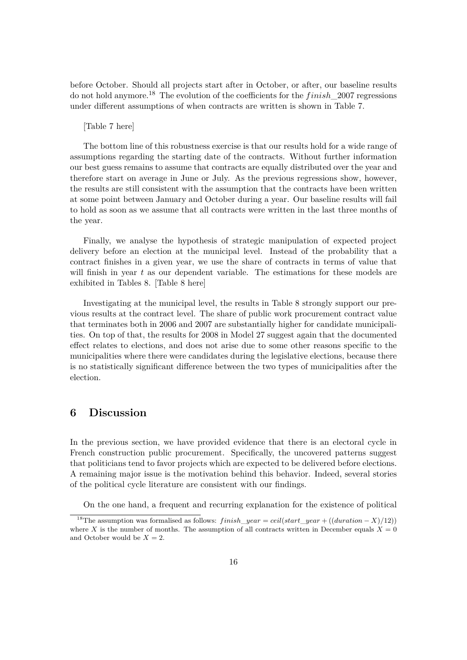before October. Should all projects start after in October, or after, our baseline results do not hold anymore.<sup>18</sup> The evolution of the coefficients for the *finish* 2007 regressions under different assumptions of when contracts are written is shown in Table 7.

#### [Table 7 here]

The bottom line of this robustness exercise is that our results hold for a wide range of assumptions regarding the starting date of the contracts. Without further information our best guess remains to assume that contracts are equally distributed over the year and therefore start on average in June or July. As the previous regressions show, however, the results are still consistent with the assumption that the contracts have been written at some point between January and October during a year. Our baseline results will fail to hold as soon as we assume that all contracts were written in the last three months of the year.

Finally, we analyse the hypothesis of strategic manipulation of expected project delivery before an election at the municipal level. Instead of the probability that a contract finishes in a given year, we use the share of contracts in terms of value that will finish in year t as our dependent variable. The estimations for these models are exhibited in Tables 8. [Table 8 here]

Investigating at the municipal level, the results in Table 8 strongly support our previous results at the contract level. The share of public work procurement contract value that terminates both in 2006 and 2007 are substantially higher for candidate municipalities. On top of that, the results for 2008 in Model 27 suggest again that the documented effect relates to elections, and does not arise due to some other reasons specific to the municipalities where there were candidates during the legislative elections, because there is no statistically significant difference between the two types of municipalities after the election.

### **6 Discussion**

In the previous section, we have provided evidence that there is an electoral cycle in French construction public procurement. Specifically, the uncovered patterns suggest that politicians tend to favor projects which are expected to be delivered before elections. A remaining major issue is the motivation behind this behavior. Indeed, several stories of the political cycle literature are consistent with our findings.

On the one hand, a frequent and recurring explanation for the existence of political

<sup>&</sup>lt;sup>18</sup>The assumption was formalised as follows: *finish\_year* = *ceil*(*start\_year* + ((*duration* – *X*)/12)) where *X* is the number of months. The assumption of all contracts written in December equals  $X = 0$ and October would be  $X = 2$ .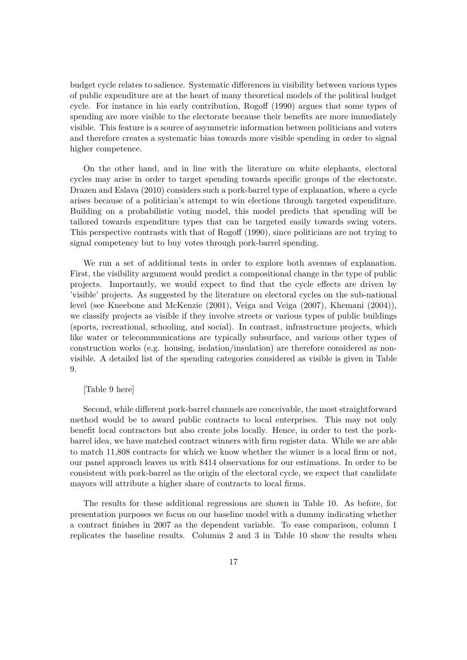budget cycle relates to salience. Systematic differences in visibility between various types of public expenditure are at the heart of many theoretical models of the political budget cycle. For instance in his early contribution, Rogoff (1990) argues that some types of spending are more visible to the electorate because their benefits are more immediately visible. This feature is a source of asymmetric information between politicians and voters and therefore creates a systematic bias towards more visible spending in order to signal higher competence.

On the other hand, and in line with the literature on white elephants, electoral cycles may arise in order to target spending towards specific groups of the electorate. Drazen and Eslava (2010) considers such a pork-barrel type of explanation, where a cycle arises because of a politician's attempt to win elections through targeted expenditure. Building on a probabilistic voting model, this model predicts that spending will be tailored towards expenditure types that can be targeted easily towards swing voters. This perspective contrasts with that of Rogoff (1990), since politicians are not trying to signal competency but to buy votes through pork-barrel spending.

We run a set of additional tests in order to explore both avenues of explanation. First, the visibility argument would predict a compositional change in the type of public projects. Importantly, we would expect to find that the cycle effects are driven by 'visible' projects. As suggested by the literature on electoral cycles on the sub-national level (see Kneebone and McKenzie (2001), Veiga and Veiga (2007), Khemani (2004)), we classify projects as visible if they involve streets or various types of public buildings (sports, recreational, schooling, and social). In contrast, infrastructure projects, which like water or telecommunications are typically subsurface, and various other types of construction works (e.g. housing, isolation/insulation) are therefore considered as nonvisible. A detailed list of the spending categories considered as visible is given in Table 9.

#### [Table 9 here]

Second, while different pork-barrel channels are conceivable, the most straightforward method would be to award public contracts to local enterprises. This may not only benefit local contractors but also create jobs locally. Hence, in order to test the porkbarrel idea, we have matched contract winners with firm register data. While we are able to match 11,808 contracts for which we know whether the winner is a local firm or not, our panel approach leaves us with 8414 observations for our estimations. In order to be consistent with pork-barrel as the origin of the electoral cycle, we expect that candidate mayors will attribute a higher share of contracts to local firms.

The results for these additional regressions are shown in Table 10. As before, for presentation purposes we focus on our baseline model with a dummy indicating whether a contract finishes in 2007 as the dependent variable. To ease comparison, column 1 replicates the baseline results. Columns 2 and 3 in Table 10 show the results when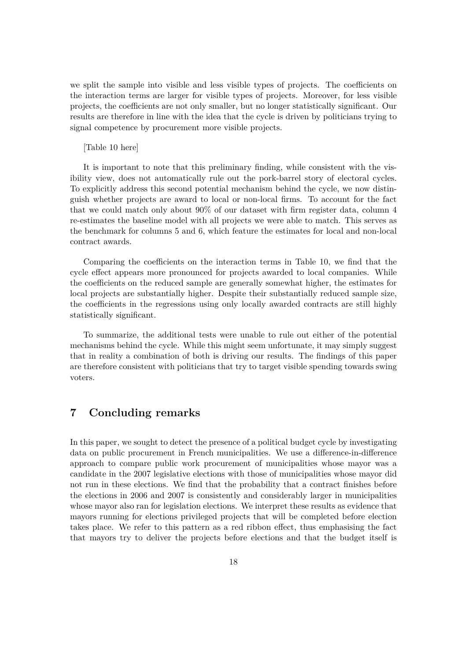we split the sample into visible and less visible types of projects. The coefficients on the interaction terms are larger for visible types of projects. Moreover, for less visible projects, the coefficients are not only smaller, but no longer statistically significant. Our results are therefore in line with the idea that the cycle is driven by politicians trying to signal competence by procurement more visible projects.

#### [Table 10 here]

It is important to note that this preliminary finding, while consistent with the visibility view, does not automatically rule out the pork-barrel story of electoral cycles. To explicitly address this second potential mechanism behind the cycle, we now distinguish whether projects are award to local or non-local firms. To account for the fact that we could match only about 90% of our dataset with firm register data, column 4 re-estimates the baseline model with all projects we were able to match. This serves as the benchmark for columns 5 and 6, which feature the estimates for local and non-local contract awards.

Comparing the coefficients on the interaction terms in Table 10, we find that the cycle effect appears more pronounced for projects awarded to local companies. While the coefficients on the reduced sample are generally somewhat higher, the estimates for local projects are substantially higher. Despite their substantially reduced sample size, the coefficients in the regressions using only locally awarded contracts are still highly statistically significant.

To summarize, the additional tests were unable to rule out either of the potential mechanisms behind the cycle. While this might seem unfortunate, it may simply suggest that in reality a combination of both is driving our results. The findings of this paper are therefore consistent with politicians that try to target visible spending towards swing voters.

## **7 Concluding remarks**

In this paper, we sought to detect the presence of a political budget cycle by investigating data on public procurement in French municipalities. We use a difference-in-difference approach to compare public work procurement of municipalities whose mayor was a candidate in the 2007 legislative elections with those of municipalities whose mayor did not run in these elections. We find that the probability that a contract finishes before the elections in 2006 and 2007 is consistently and considerably larger in municipalities whose mayor also ran for legislation elections. We interpret these results as evidence that mayors running for elections privileged projects that will be completed before election takes place. We refer to this pattern as a red ribbon effect, thus emphasising the fact that mayors try to deliver the projects before elections and that the budget itself is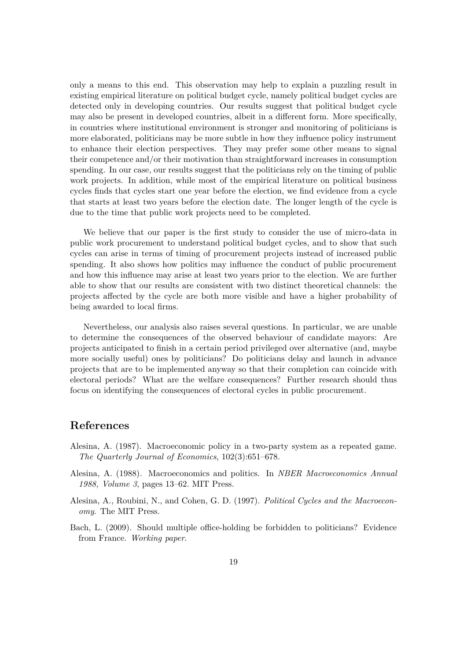only a means to this end. This observation may help to explain a puzzling result in existing empirical literature on political budget cycle, namely political budget cycles are detected only in developing countries. Our results suggest that political budget cycle may also be present in developed countries, albeit in a different form. More specifically, in countries where institutional environment is stronger and monitoring of politicians is more elaborated, politicians may be more subtle in how they influence policy instrument to enhance their election perspectives. They may prefer some other means to signal their competence and/or their motivation than straightforward increases in consumption spending. In our case, our results suggest that the politicians rely on the timing of public work projects. In addition, while most of the empirical literature on political business cycles finds that cycles start one year before the election, we find evidence from a cycle that starts at least two years before the election date. The longer length of the cycle is due to the time that public work projects need to be completed.

We believe that our paper is the first study to consider the use of micro-data in public work procurement to understand political budget cycles, and to show that such cycles can arise in terms of timing of procurement projects instead of increased public spending. It also shows how politics may influence the conduct of public procurement and how this influence may arise at least two years prior to the election. We are further able to show that our results are consistent with two distinct theoretical channels: the projects affected by the cycle are both more visible and have a higher probability of being awarded to local firms.

Nevertheless, our analysis also raises several questions. In particular, we are unable to determine the consequences of the observed behaviour of candidate mayors: Are projects anticipated to finish in a certain period privileged over alternative (and, maybe more socially useful) ones by politicians? Do politicians delay and launch in advance projects that are to be implemented anyway so that their completion can coincide with electoral periods? What are the welfare consequences? Further research should thus focus on identifying the consequences of electoral cycles in public procurement.

### **References**

- Alesina, A. (1987). Macroeconomic policy in a two-party system as a repeated game. *The Quarterly Journal of Economics*, 102(3):651–678.
- Alesina, A. (1988). Macroeconomics and politics. In *NBER Macroeconomics Annual 1988, Volume 3*, pages 13–62. MIT Press.
- Alesina, A., Roubini, N., and Cohen, G. D. (1997). *Political Cycles and the Macroeconomy*. The MIT Press.
- Bach, L. (2009). Should multiple office-holding be forbidden to politicians? Evidence from France. *Working paper*.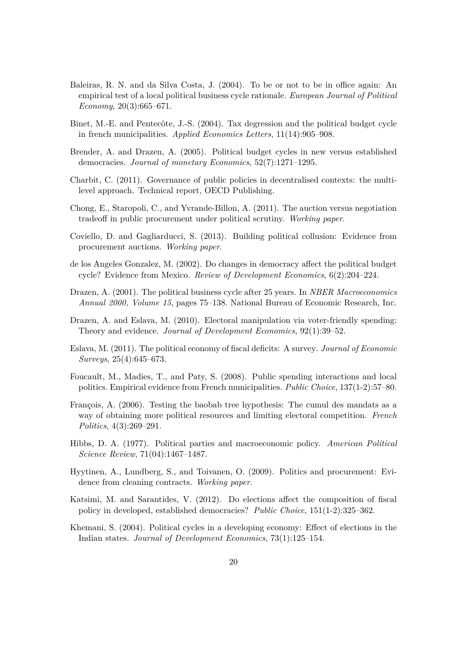- Baleiras, R. N. and da Silva Costa, J. (2004). To be or not to be in office again: An empirical test of a local political business cycle rationale. *European Journal of Political Economy*, 20(3):665–671.
- Binet, M.-E. and Pentecôte, J.-S. (2004). Tax degression and the political budget cycle in french municipalities. *Applied Economics Letters*, 11(14):905–908.
- Brender, A. and Drazen, A. (2005). Political budget cycles in new versus established democracies. *Journal of monetary Economics*, 52(7):1271–1295.
- Charbit, C. (2011). Governance of public policies in decentralised contexts: the multilevel approach. Technical report, OECD Publishing.
- Chong, E., Staropoli, C., and Yvrande-Billon, A. (2011). The auction versus negotiation tradeoff in public procurement under political scrutiny. *Working paper*.
- Coviello, D. and Gagliarducci, S. (2013). Building political collusion: Evidence from procurement auctions. *Working paper*.
- de los Angeles Gonzalez, M.  $(2002)$ . Do changes in democracy affect the political budget cycle? Evidence from Mexico. *Review of Development Economics*, 6(2):204–224.
- Drazen, A. (2001). The political business cycle after 25 years. In *NBER Macroeconomics Annual 2000, Volume 15*, pages 75–138. National Bureau of Economic Research, Inc.
- Drazen, A. and Eslava, M. (2010). Electoral manipulation via voter-friendly spending: Theory and evidence. *Journal of Development Economics*, 92(1):39–52.
- Eslava, M. (2011). The political economy of fiscal deficits: A survey. *Journal of Economic Surveys*, 25(4):645–673.
- Foucault, M., Madies, T., and Paty, S. (2008). Public spending interactions and local politics. Empirical evidence from French municipalities. *Public Choice*, 137(1-2):57–80.
- François, A. (2006). Testing the baobab tree hypothesis: The cumul des mandats as a way of obtaining more political resources and limiting electoral competition. *French Politics*, 4(3):269–291.
- Hibbs, D. A. (1977). Political parties and macroeconomic policy. *American Political Science Review*, 71(04):1467–1487.
- Hyytinen, A., Lundberg, S., and Toivanen, O. (2009). Politics and procurement: Evidence from cleaning contracts. *Working paper*.
- Katsimi, M. and Sarantides, V. (2012). Do elections affect the composition of fiscal policy in developed, established democracies? *Public Choice*, 151(1-2):325–362.
- Khemani, S. (2004). Political cycles in a developing economy: Effect of elections in the Indian states. *Journal of Development Economics*, 73(1):125–154.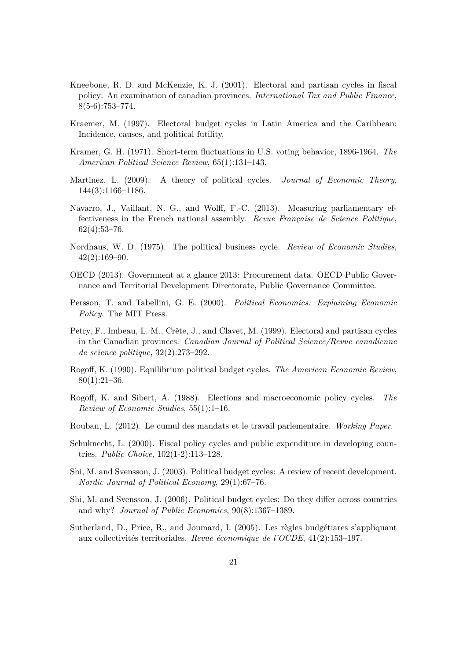- Kneebone, R. D. and McKenzie, K. J. (2001). Electoral and partisan cycles in fiscal policy: An examination of canadian provinces. *International Tax and Public Finance*,  $8(5-6):753-774.$
- Kraemer, M. (1997). Electoral budget cycles in Latin America and the Caribbean: Incidence, causes, and political futility.
- Kramer, G. H. (1971). Short-term fluctuations in U.S. voting behavior, 1896-1964. *The American Political Science Review*, 65(1):131–143.
- Martinez, L. (2009). A theory of political cycles. *Journal of Economic Theory*, 144(3):1166–1186.
- Navarro, J., Vaillant, N. G., and Wolff, F.-C. (2013). Measuring parliamentary effectiveness in the French national assembly. *Revue Française de Science Politique*, 62(4):53–76.
- Nordhaus, W. D. (1975). The political business cycle. *Review of Economic Studies*,  $42(2):169-90.$
- OECD (2013). Government at a glance 2013: Procurement data. OECD Public Governance and Territorial Development Directorate, Public Governance Committee.
- Persson, T. and Tabellini, G. E. (2000). *Political Economics: Explaining Economic Policy*. The MIT Press.
- Petry, F., Imbeau, L. M., Crête, J., and Clavet, M. (1999). Electoral and partisan cycles in the Canadian provinces. *Canadian Journal of Political Science/Revue canadienne de science politique*, 32(2):273–292.
- Rogoff, K. (1990). Equilibrium political budget cycles. *The American Economic Review*,  $80(1):21-36.$
- Rogoff, K. and Sibert, A. (1988). Elections and macroeconomic policy cycles. The *Review of Economic Studies*, 55(1):1–16.
- Rouban, L. (2012). Le cumul des mandats et le travail parlementaire. *Working Paper*.
- Schuknecht, L. (2000). Fiscal policy cycles and public expenditure in developing countries. *Public Choice*, 102(1-2):113–128.
- Shi, M. and Svensson, J. (2003). Political budget cycles: A review of recent development. *Nordic Journal of Political Economy*, 29(1):67–76.
- Shi, M. and Svensson, J. (2006). Political budget cycles: Do they differ across countries and why? *Journal of Public Economics*, 90(8):1367–1389.
- Sutherland, D., Price, R., and Joumard, I. (2005). Les règles budgétiares s'appliquant aux collectivités territoriales. *Revue économique de l'OCDE*, 41(2):153–197.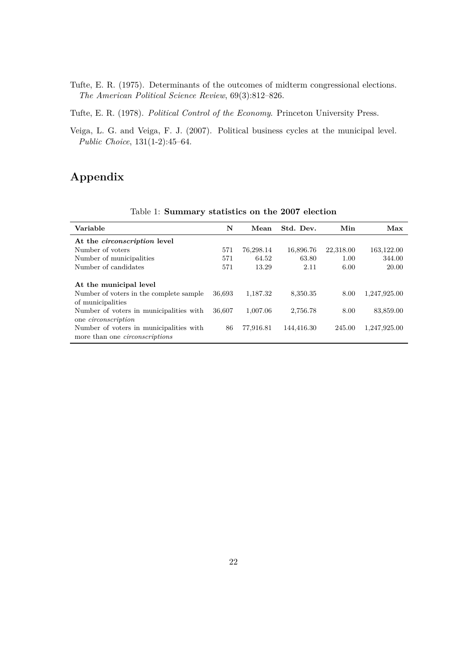Tufte, E. R. (1975). Determinants of the outcomes of midterm congressional elections. *The American Political Science Review*, 69(3):812–826.

Tufte, E. R. (1978). *Political Control of the Economy*. Princeton University Press.

Veiga, L. G. and Veiga, F. J. (2007). Political business cycles at the municipal level. *Public Choice*, 131(1-2):45–64.

## **Appendix**

| Variable                                                                         | N      | Mean      | Std. Dev.  | Min       | Max          |
|----------------------------------------------------------------------------------|--------|-----------|------------|-----------|--------------|
| At the <i>circonscription</i> level                                              |        |           |            |           |              |
| Number of voters                                                                 | 571    | 76,298.14 | 16,896.76  | 22,318.00 | 163,122.00   |
| Number of municipalities                                                         | 571    | 64.52     | 63.80      | 1.00      | 344.00       |
| Number of candidates                                                             | 571    | 13.29     | 2.11       | 6.00      | 20.00        |
| At the municipal level<br>Number of voters in the complete sample                | 36,693 | 1,187.32  | 8,350.35   | 8.00      | 1,247,925.00 |
| of municipalities                                                                |        |           |            |           |              |
| Number of voters in municipalities with<br>one <i>circonscription</i>            | 36,607 | 1,007.06  | 2,756.78   | 8.00      | 83,859.00    |
| Number of voters in municipalities with<br>more than one <i>circonscriptions</i> | 86     | 77,916.81 | 144,416.30 | 245.00    | 1,247,925.00 |

Table 1: **Summary statistics on the 2007 election**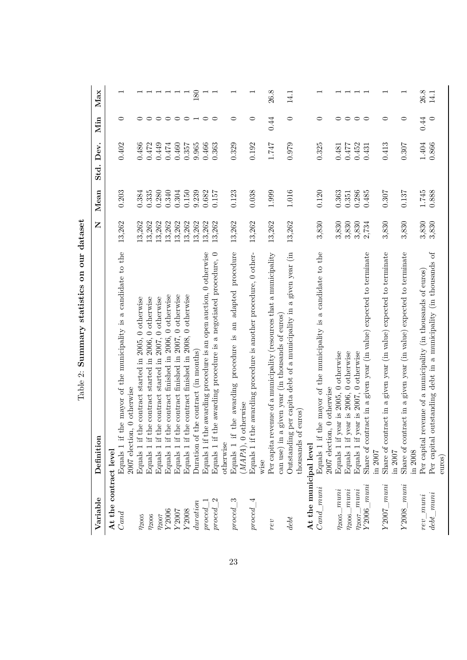| Variable                              | Definition                                                                                                                             | Z                | Mean           | Std. Dev.      | Min                    | Max              |
|---------------------------------------|----------------------------------------------------------------------------------------------------------------------------------------|------------------|----------------|----------------|------------------------|------------------|
| At the contract level<br>Cand         | the mayor of the municipality is a candidate to the<br>2007 election, 0 otherwise<br>Equals 1 if                                       | 13,262           | 0.203          | 0.402          | $\circ$                |                  |
| $\eta_{2005}$                         | the contract started in 2005, 0 otherwise<br>the contract started in 2006, 0 otherwise<br>Equals 1 if<br>Equals 1 if                   | 13,262<br>13,262 | 0.384<br>0.335 | 0.486<br>0.472 | $\circ$<br>$\circ$     |                  |
| $\eta_{2006}$<br>$\eta_{2007}$        | the contract started in $2007$ , 0 otherwise<br>Equals 1 if                                                                            | 13,262           | 0.280          | 0.449          | $\circ$                |                  |
| $Y2006$                               | the contract finished in 2006, 0 otherwise<br>Equals 1 if                                                                              | 13,262           | 0.340          | 0.474          |                        |                  |
| Y2007                                 | the contract finished in 2007, 0 otherwise<br>Equals 1 if                                                                              | 13,262           | 0.304          | 0.460          | $\circ$                |                  |
| Y2008                                 | the contract finished in 2008, 0 otherwise<br>Equals 1 if                                                                              | 13,262           | 0.150          | 0.357          | $\circ$ $\sim$ $\circ$ |                  |
| duration                              | the contract (in months)<br>Duration of                                                                                                | 13,262           | 9.239          | 9.965          |                        | 180              |
| proced                                | Equals 1 if the awarding procedure is an open auction, 0 otherwise                                                                     | 13,262           | 0.682          | 0.466          |                        |                  |
| $\mathfrak{a}$<br>proced              | Equals 1 if the awarding procedure is a negotiated procedure, 0<br>otherwise                                                           | 13,262           | 0.157          | 0.363          | $\circ$                |                  |
| $proced\_3$                           | the awarding procedure is an adapted procedure<br>$(MAPA)$ , 0 otherwise<br>$Equals$ 1 if                                              | 13,262           | 0.123          | 0.329          | $\circ$                |                  |
| $proced\_4$                           | Equals 1 if the awarding procedure is another procedure, 0 other-<br>wise                                                              | 13,262           | 0.038          | 0.192          | 0                      |                  |
| rev                                   | Per capita revenue of a municipality (resources that a municipality<br>a given year (in thousands of euros)<br>can use) in             | 13,262           | 1.999          | 1.747          | 0.44                   | 26.8             |
| debt                                  | Outstanding per capita debt of a municipality in a given year (in<br>thousands of euros                                                | 13,262           | 1.016          | 0.979          | $\circ$                | 14.1             |
| At the municipal level                |                                                                                                                                        |                  |                |                |                        |                  |
| $Cand\_muni$                          | Equals 1 if the mayor of the municipality is a candidate to the<br>2007 election, 0 otherwise                                          | 3,830            | 0.120          | 0.325          | $\circ$                |                  |
| $\eta_{2005\_muni}$                   | year is 2005, 0 otherwise<br>Equals 1 if                                                                                               | 3,830            | 0.363          | 0.481          | $\circ$ $\circ$        |                  |
| $\eta_{2006\_muni}$                   | year is 2006, 0 otherwise<br>year is 2007, 0 otherwise<br>Equals 1 if<br>Equals 1 if                                                   | 3,830<br>3,830   | 0.286<br>0.351 | 0.452<br>0.477 |                        |                  |
| $Y2006$ $muni$<br>$\eta_{2007\_muni}$ | Share of contract in a given year (in value) expected to terminate<br>in 2007                                                          | 2,734            | 0.485          | 0.431          | $\circ$                |                  |
| $Y2007\_muni$                         | Share of contract in a given year (in value) expected to terminate<br>in 2007                                                          | 3,830            | 0.307          | 0.413          | 0                      |                  |
| $Y2008$ $muni$                        | Share of contract in a given year (in value) expected to terminate<br>in 2008                                                          | 3,830            | 0.137          | 0.307          | $\circ$                |                  |
| $det\_muni$<br>$rev\_muni$            | outstanding debt in a municipality (in thousands of<br>revenue of a municipality (in thousands of euros)<br>Per capital<br>Per capital | 3,830<br>3,830   | 1.745<br>0.888 | 1.404<br>0.866 | 0.44<br>$\circ$        | $26.8\,$<br>14.1 |
|                                       | euros)                                                                                                                                 |                  |                |                |                        |                  |

Table 2: Summary statistics on our dataset Table 2: **Summary statistics on our dataset**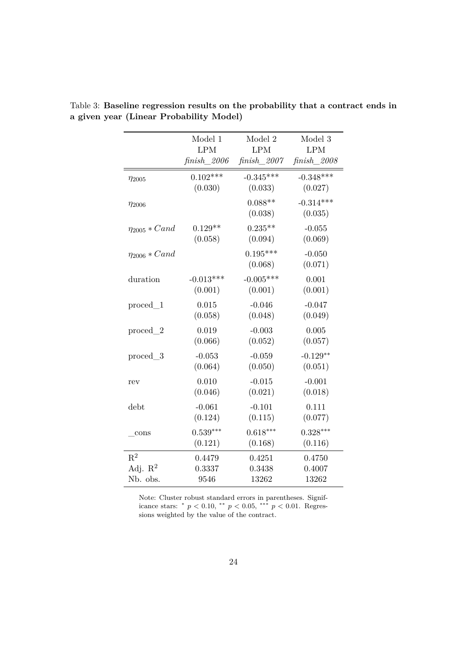|                      | Model 1     | Model 2               | Model 3                |
|----------------------|-------------|-----------------------|------------------------|
|                      | <b>LPM</b>  | <b>LPM</b>            | <b>LPM</b>             |
|                      | finish 2006 | $finish\_2007$        | $\text{finish}\_2008$  |
| $\eta_{2005}$        | $0.102***$  | $-0.345***$           | $-0.348***$            |
|                      | (0.030)     | (0.033)               | (0.027)                |
| $\eta_{2006}$        |             | $0.088**$<br>(0.038)  | $-0.314***$<br>(0.035) |
| $\eta_{2005} * Cand$ | $0.129**$   | $0.235**$             | $-0.055$               |
|                      | (0.058)     | (0.094)               | (0.069)                |
| $\eta_{2006} * Cand$ |             | $0.195***$<br>(0.068) | $-0.050$<br>(0.071)    |
| duration             | $-0.013***$ | $-0.005***$           | 0.001                  |
|                      | (0.001)     | (0.001)               | (0.001)                |
| $proced\_1$          | 0.015       | $-0.046$              | $-0.047$               |
|                      | (0.058)     | (0.048)               | (0.049)                |
| $proced\_2$          | 0.019       | $-0.003$              | 0.005                  |
|                      | (0.066)     | (0.052)               | (0.057)                |
| $proced\_3$          | $-0.053$    | $-0.059$              | $-0.129**$             |
|                      | (0.064)     | (0.050)               | (0.051)                |
| rev                  | 0.010       | $-0.015$              | $-0.001$               |
|                      | (0.046)     | (0.021)               | (0.018)                |
| debt                 | $-0.061$    | $-0.101$              | 0.111                  |
|                      | (0.124)     | (0.115)               | (0.077)                |
| cons                 | $0.539***$  | $0.618***$            | $0.328***$             |
|                      | (0.121)     | (0.168)               | (0.116)                |
| $\mathbf{R}^2$       | 0.4479      | 0.4251                | 0.4750                 |
| Adj. $R^2$           | 0.3337      | 0.3438                | 0.4007                 |
| Nb. obs.             | 9546        | 13262                 | 13262                  |

Table 3: **Baseline regression results on the probability that a contract ends in a given year (Linear Probability Model)**

Note: Cluster robust standard errors in parentheses. Significance stars: \*  $p < 0.10$ , \*\*  $p < 0.05$ , \*\*\*  $p < 0.01$ . Regressions weighted by the value of the contract.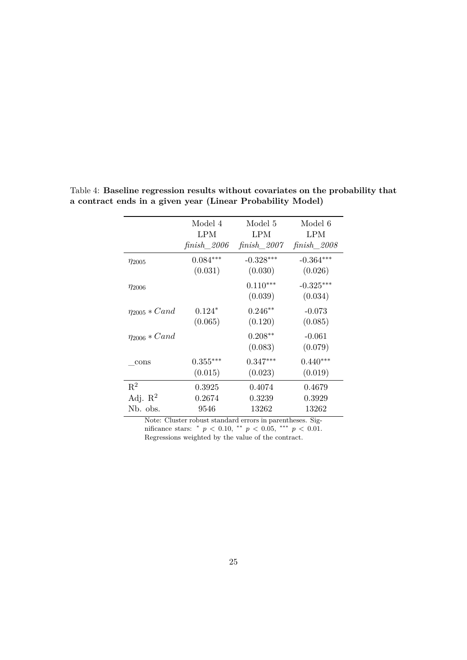|                      | Model 4     | Model 5               | Model 6                |
|----------------------|-------------|-----------------------|------------------------|
|                      | LPM         | LPM                   | LPM                    |
|                      | finish 2006 | finish 2007           | $finish\_2008$         |
| $\eta_{2005}$        | $0.084***$  | $-0.328***$           | $-0.364***$            |
|                      | (0.031)     | (0.030)               | (0.026)                |
| $\eta_{2006}$        |             | $0.110***$<br>(0.039) | $-0.325***$<br>(0.034) |
| $\eta_{2005} * Cand$ | $0.124*$    | $0.246**$             | $-0.073$               |
|                      | (0.065)     | (0.120)               | (0.085)                |
| $\eta_{2006} * Cand$ |             | $0.208**$<br>(0.083)  | $-0.061$<br>(0.079)    |
| cons                 | $0.355***$  | $0.347***$            | $0.440***$             |
|                      | (0.015)     | (0.023)               | (0.019)                |
| $R^2$                | 0.3925      | 0.4074                | 0.4679                 |
| Adj. $\mathbb{R}^2$  | 0.2674      | 0.3239                | 0.3929                 |
| Nb. obs.             | 9546        | 13262                 | 13262                  |

Table 4: **Baseline regression results without covariates on the probability that a contract ends in a given year (Linear Probability Model)**

Note: Cluster robust standard errors in parentheses. Significance stars: \*  $p < 0.10$ , \*\*  $p < 0.05$ , \*\*\*  $p < 0.01$ . Regressions weighted by the value of the contract.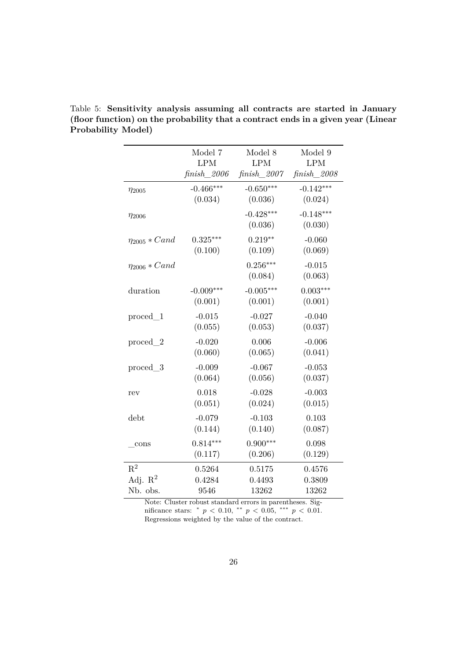|                      | Model 7     | Model 8                | Model 9                |
|----------------------|-------------|------------------------|------------------------|
|                      | <b>LPM</b>  | <b>LPM</b>             | <b>LPM</b>             |
|                      | finish 2006 | $finish\_2007$         | $\text{finish}\_2008$  |
| $\eta_{2005}$        | $-0.466***$ | $-0.650***$            | $-0.142***$            |
|                      | (0.034)     | (0.036)                | (0.024)                |
| $\eta_{2006}$        |             | $-0.428***$<br>(0.036) | $-0.148***$<br>(0.030) |
| $\eta_{2005} * Cand$ | $0.325***$  | $0.219**$              | $-0.060$               |
|                      | (0.100)     | (0.109)                | (0.069)                |
| $\eta_{2006} * Cand$ |             | $0.256***$<br>(0.084)  | $-0.015$<br>(0.063)    |
| duration             | $-0.009***$ | $-0.005***$            | $0.003***$             |
|                      | (0.001)     | (0.001)                | (0.001)                |
| $proced\_1$          | $-0.015$    | $-0.027$               | $-0.040$               |
|                      | (0.055)     | (0.053)                | (0.037)                |
| $proced\_2$          | $-0.020$    | 0.006                  | $-0.006$               |
|                      | (0.060)     | (0.065)                | (0.041)                |
| proced 3             | $-0.009$    | $-0.067$               | $-0.053$               |
|                      | (0.064)     | (0.056)                | (0.037)                |
| rev                  | 0.018       | $-0.028$               | $-0.003$               |
|                      | (0.051)     | (0.024)                | (0.015)                |
| debt                 | $-0.079$    | $-0.103$               | 0.103                  |
|                      | (0.144)     | (0.140)                | (0.087)                |
| cons                 | $0.814***$  | $0.900***$             | 0.098                  |
|                      | (0.117)     | (0.206)                | (0.129)                |
| $R^2$                | 0.5264      | 0.5175                 | 0.4576                 |
| Adj. $\mathbb{R}^2$  | 0.4284      | 0.4493                 | 0.3809                 |
| Nb. obs.             | 9546        | 13262                  | 13262                  |

Table 5: **Sensitivity analysis assuming all contracts are started in January (floor function) on the probability that a contract ends in a given year (Linear Probability Model)**

Note: Cluster robust standard errors in parentheses. Significance stars: \*  $p < 0.10$ , \*\*  $p < 0.05$ , \*\*\*  $p < 0.01$ . Regressions weighted by the value of the contract.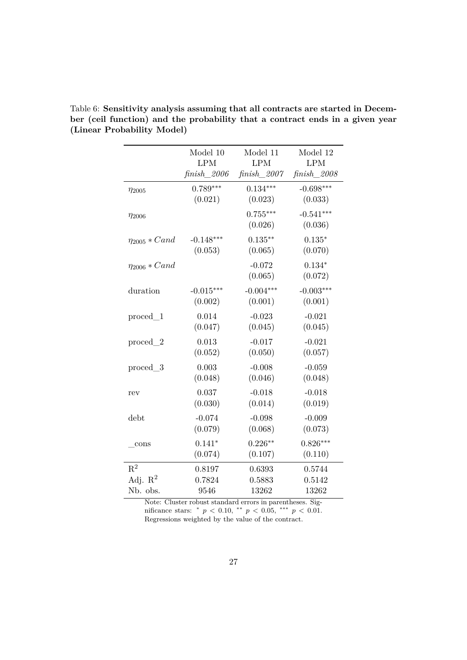|                      | Model 10       | Model 11              | Model 12               |
|----------------------|----------------|-----------------------|------------------------|
|                      | <b>LPM</b>     | <b>LPM</b>            | <b>LPM</b>             |
|                      | $finish\_2006$ | $finish\_2007$        | $finish\_2008$         |
| $\eta_{2005}$        | $0.789***$     | $0.134***$            | $-0.698***$            |
|                      | (0.021)        | (0.023)               | (0.033)                |
| $\eta_{2006}$        |                | $0.755***$<br>(0.026) | $-0.541***$<br>(0.036) |
| $\eta_{2005} * Cand$ | $-0.148***$    | $0.135***$            | $0.135*$               |
|                      | (0.053)        | (0.065)               | (0.070)                |
| $\eta_{2006} * Cand$ |                | $-0.072$<br>(0.065)   | $0.134*$<br>(0.072)    |
| duration             | $-0.015***$    | $-0.004***$           | $-0.003***$            |
|                      | (0.002)        | (0.001)               | (0.001)                |
| $proced\_1$          | 0.014          | $-0.023$              | $-0.021$               |
|                      | (0.047)        | (0.045)               | (0.045)                |
| $proced\_2$          | 0.013          | $-0.017$              | $-0.021$               |
|                      | (0.052)        | (0.050)               | (0.057)                |
| proced 3             | 0.003          | $-0.008$              | $-0.059$               |
|                      | (0.048)        | (0.046)               | (0.048)                |
| rev                  | 0.037          | $-0.018$              | $-0.018$               |
|                      | (0.030)        | (0.014)               | (0.019)                |
| debt                 | $-0.074$       | $-0.098$              | $-0.009$               |
|                      | (0.079)        | (0.068)               | (0.073)                |
| cons                 | $0.141*$       | $0.226***$            | $0.826***$             |
|                      | (0.074)        | (0.107)               | (0.110)                |
| $R^2$                | 0.8197         | 0.6393                | 0.5744                 |
| Adj. $R^2$           | 0.7824         | 0.5883                | 0.5142                 |
| Nb. obs.             | 9546           | 13262                 | 13262                  |

Table 6: **Sensitivity analysis assuming that all contracts are started in December (ceil function) and the probability that a contract ends in a given year (Linear Probability Model)**

Note: Cluster robust standard errors in parentheses. Significance stars: \*  $p < 0.10$ , \*\*  $p < 0.05$ , \*\*\*  $p < 0.01$ . Regressions weighted by the value of the contract.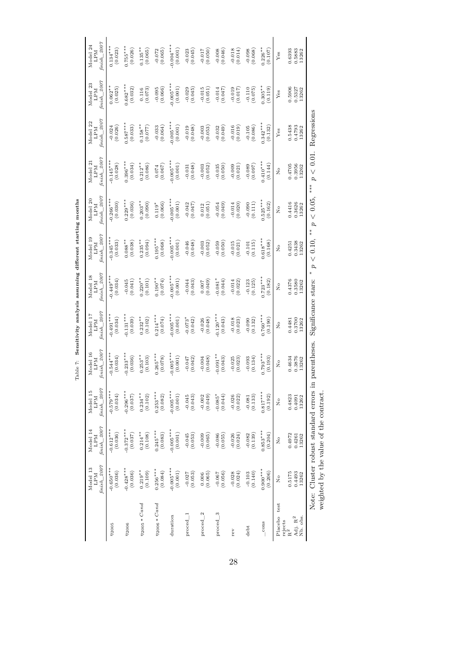Table 7: Sensitivity analysis assuming different starting months Table 7: **Sensitivity analysis assuming dierent starting months**

|                                                              | finish_2007<br>Model 13<br><b>NGT</b> | finish_2007<br>Model 14                | finish_2007<br>Model 15<br><b>NGT</b>                | $\limh_{2007}$<br>Model 16<br>LPM | finish_2007<br>Model 17<br><b>NdT</b> | $\hbar nish\_2007$<br>Model 18<br><b>LPM</b> | $\hbar nish\_2007$<br>Model 19<br><b>LPM</b> | $\text{fminh}\_2007$<br>Model 20<br><b>LPM</b>    | $\hbar n i s h$ 2007<br>Model 2<br><b>NGT</b> | $\text{fminh}\_2007$<br>Model 22<br><b>NGT</b> | $\text{f~nish}\_2007$<br>Model 23<br><b>NdT</b> | finish_2007<br>Model 24   |
|--------------------------------------------------------------|---------------------------------------|----------------------------------------|------------------------------------------------------|-----------------------------------|---------------------------------------|----------------------------------------------|----------------------------------------------|---------------------------------------------------|-----------------------------------------------|------------------------------------------------|-------------------------------------------------|---------------------------|
| 72005                                                        | $-0.650***$<br>(0.036)                | $-0.612***$<br>(0.036)                 | $-0.579***$<br>(0.034)                               | $-0.544***$<br>(0.034)            | $-0.491***$<br>(0.034)                | $-0.449***$<br>(0.034)                       | $-0.345***$<br>(0.033)                       | $-0.266***$                                       | $0.145***$<br>(0.028)                         | $-0.024$<br>(0.026)                            | $0.062***$<br>(0.025)                           | $0.134***$<br>(0.023)     |
| 72006                                                        | $-0.428***$<br>(0.036)                | $-0.372***$<br>(0.037)                 | $-0.296***$<br>(0.037)                               | $0.233***$<br>(0.036)             | $0.131***$<br>(0.039)                 | $-0.045$<br>(0.041)                          | $0.088**$<br>(0.038)                         | $0.229***$<br>(0.036)                             | $0.396***$<br>(0.034)                         | $0.587***$<br>(0.033)                          | $0.682***$<br>(0.032)                           | $0.755***$<br>(0.026)     |
| $\eta_{2005} * Cand$                                         | $0.219**$<br>(0.109)                  | $0.214***$<br>(0.108)                  | $0.234***$<br>(0.102)                                | $0.253**$<br>(0.103)              | $0.232***$<br>(0.102)                 | $0.220**$<br>(0.101)                         | $0.235**$<br>(0.094)                         | $0.203**$<br>(0.090)                              | $0.212**$<br>(0.086)                          | $0.158**$<br>(770.077)                         | $\frac{0.116}{(0.073)}$                         | $0.135***$<br>(0.065)     |
| $\eta_{2006} * Cand$                                         | $0.256***$<br>(0.084)                 | $0.245***$<br>(0.083)                  | $0.253***$<br>(0.082)                                | $0.265***$<br>(0.078)             | $0.214***$<br>(0.074)                 | $0.190**$<br>(0.074)                         | $0.195***$<br>(0.068)                        | $\begin{array}{c} 0.119^* \\ (0.066) \end{array}$ | (0.067)                                       | $-0.033$<br>$(0.064)$                          | $-0.095$<br>$(0.066)$                           | $-0.072$<br>(0.065)       |
| duration                                                     | $-0.005***$<br>(0.001)                | $-0.005***$<br>(0.001)                 | $-0.005***$<br>(0.001)                               | $0.005***$<br>(0.001)             | $0.005***$<br>(0.001)                 | $0.005***$<br>(0.001)                        | $0.005***$<br>(0.001)                        | $0.005***$<br>(0.001)                             | $0.005***$<br>(0.001)                         | $0.005***$<br>(0.001)                          | $0.005***$<br>(0.001)                           | $0.004***$<br>(0.001)     |
| $proced_1$                                                   | $-0.027$<br>(0.053)                   | $-0.045$<br>(0.053)                    | $-0.045$<br>(0.043)                                  | (0.047)                           | $-0.073$ <sup>*</sup><br>(0.042)      | $-0.044$<br>(0.043)                          | $-0.046$<br>(0.048)                          | (0.047)<br>$-0.042$                               | (0.048)<br>$-0.031$                           | (0.019)                                        | $-0.029$<br>$(0.045)$                           | $-0.023$<br>$(0.045)$     |
| $proced_2$                                                   | (0.006)                               | (0.065)                                | $-0.002$<br>(0.049)                                  | $-0.004$<br>(0.048)               | $-0.026$<br>(0.048)                   | $(6 + 0.007)$                                | $-0.003$<br>$(0.052)$                        | (0.051)<br>0.012                                  | $-0.003$<br>(0.052)                           | $-0.003$<br>$(0.053)$                          | (0.015)                                         | (0.050)                   |
| $proced\_3$                                                  | (0.056)<br>$-0.067$                   | $-0.086$<br>(0.055)                    | $-0.085*$<br>(0.044)                                 | $0.091***$<br>(0.043)             | $0.120***$<br>(0.043)                 | $0.081*$<br>(0.044)                          | $-0.059$<br>(0.050)                          | (0.049)<br>$-0.054$                               | $-0.035$<br>(0.050)                           | $-0.032$<br>(0.049)                            | (740.0)<br>$-0.014$                             | (0.046)<br>$-0.008$       |
| rev                                                          | $-0.028$<br>(0.024)                   | $-0.026$<br>$(0.024)$                  | $-0.026$<br>(0.022)                                  | $-0.025$<br>(0.023)               | (0.018)                               | $-0.014$<br>(0.022)                          | (0.015)                                      | (0.020)<br>$-0.014$                               | $-0.009$<br>(0.021)                           | $-0.016$<br>(0.019)                            | $-0.019$<br>(0.017)                             | (0.014)                   |
| $_{\text{debt}}$                                             | (0.103)                               | (0.139)<br>$-0.082$                    | (0.133)<br>$-0.081$                                  | $-0.093$<br>(0.134)               | (0.132)<br>$-0.090$                   | (0.125)<br>$-0.123$                          | (0.115)<br>$-0.101$                          | (0.111)<br>$-0.090$                               | $-0.089$<br>(0.097)                           | $-0.105$<br>(0.086)                            | $-0.110$<br>(0.075)                             | $-0.098$<br>(0.068)       |
| $_{\rm cons}$                                                | $0.900***$<br>(0.206)                 | $0.853***$<br>(0.204)                  | $0.817***$<br>(0.192)                                | $0.793***$<br>(0.193)             | $0.760***$<br>(0.190)                 | $0.723***$<br>(0.182)                        | $0.618***$<br>(0.168)                        | $0.525***$<br>(0.162)                             | $0.410***$<br>(0.144)                         | $0.342***$<br>(0.132)                          | $0.305**$<br>(611.0)                            | $0.226***$<br>(0.107)     |
| Placebo test                                                 | $\tilde{z}$                           | $\frac{1}{2}$                          | $\frac{1}{2}$                                        | $\tilde{X}$                       | $\frac{1}{2}$                         | $\frac{1}{2}$                                | $\stackrel{\circ}{\phantom{}_{\sim}}$        | $\overline{\mathsf{x}}$                           | $\tilde{Z}$                                   | $\mathbf{Y}\mathsf{es}$                        | Yes                                             | Yes                       |
| Adj. $\mathbf{R}^2$<br>Nb. obs.<br>rejects<br>R <sup>2</sup> | 0.5175<br>0.4493<br>13262             | 0.4972<br>0.4261<br>13262              | 0.4823<br>0.4091<br>13262                            | 0.4634<br>0.3876<br>13262         | 0.3700<br>0.4481<br>13262             | 0.4376<br>$0.3580$<br>$13262$                | 0.3438<br>0.4251<br>13262                    | 0.4416<br>0.3626<br>13262                         | 0.4705<br>0.3956<br>13262                     | 0.5438<br>0.4793<br>13262                      | 0.5906<br>0.5327<br>13262                       | 0.6393<br>0.5883<br>13262 |
|                                                              |                                       | weighted by the value of the contract. | Note: Cluster robust standard errors in parentheses. |                                   | Significance stars:                   |                                              | $*$<br>0.10,<br>$\vee$<br>$\sigma$           | $< 0.05$ ,<br>d                                   | $p < 0.01$ .<br>***                           | Regressions                                    |                                                 |                           |

28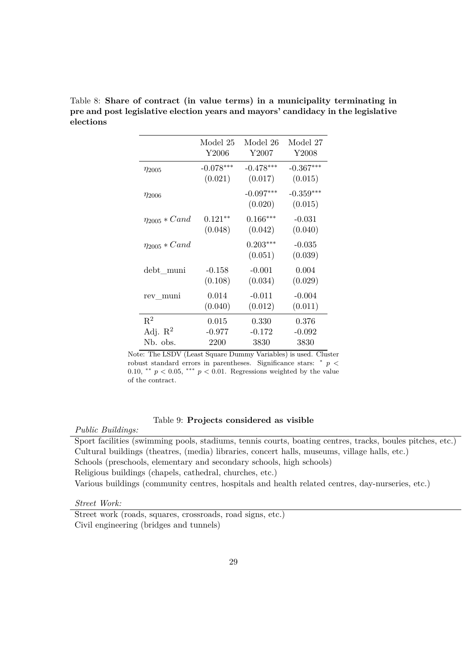|                      | Model 25    | Model 26               | Model 27               |
|----------------------|-------------|------------------------|------------------------|
|                      | Y2006       | Y2007                  | Y <sub>2008</sub>      |
| $\eta_{2005}$        | $-0.078***$ | $-0.478***$            | $-0.367***$            |
|                      | (0.021)     | (0.017)                | (0.015)                |
| $\eta_{2006}$        |             | $-0.097***$<br>(0.020) | $-0.359***$<br>(0.015) |
| $\eta_{2005} * Cand$ | $0.121**$   | $0.166***$             | $-0.031$               |
|                      | (0.048)     | (0.042)                | (0.040)                |
| $\eta_{2005} * Cand$ |             | $0.203***$<br>(0.051)  | $-0.035$<br>(0.039)    |
| debt muni            | $-0.158$    | $-0.001$               | 0.004                  |
|                      | (0.108)     | (0.034)                | (0.029)                |
| rev_muni             | 0.014       | $-0.011$               | $-0.004$               |
|                      | (0.040)     | (0.012)                | (0.011)                |
| $\mathbf{R}^2$       | 0.015       | 0.330                  | 0.376                  |
| Adj. $\mathbb{R}^2$  | $-0.977$    | $-0.172$               | $-0.092$               |
| Nb. obs.             | 2200        | 3830                   | 3830                   |

Table 8: **Share of contract (in value terms) in a municipality terminating in pre and post legislative election years and mayors' candidacy in the legislative elections**

Note: The LSDV (Least Square Dummy Variables) is used. Cluster robust standard errors in parentheses. Significance stars:  $\degree p$  < 0.10, \*\*  $p < 0.05$ , \*\*\*  $p < 0.01$ . Regressions weighted by the value of the contract.

#### Table 9: **Projects considered as visible**

*Public Buildings:*

Sport facilities (swimming pools, stadiums, tennis courts, boating centres, tracks, boules pitches, etc.) Cultural buildings (theatres, (media) libraries, concert halls, museums, village halls, etc.) Schools (preschools, elementary and secondary schools, high schools)

Religious buildings (chapels, cathedral, churches, etc.)

Various buildings (community centres, hospitals and health related centres, day-nurseries, etc.)

*Street Work:*

Street work (roads, squares, crossroads, road signs, etc.) Civil engineering (bridges and tunnels)